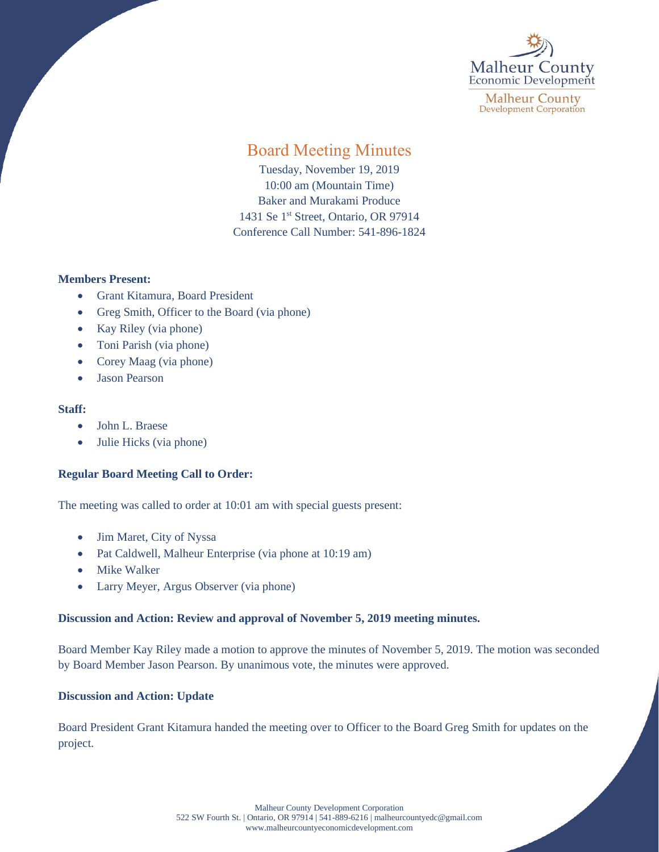

**Malheur County Development Corporation** 

# Board Meeting Minutes

Tuesday, November 19, 2019 10:00 am (Mountain Time) Baker and Murakami Produce 1431 Se 1<sup>st</sup> Street, Ontario, OR 97914 Conference Call Number: 541-896-1824

### **Members Present:**

- Grant Kitamura, Board President
- Greg Smith, Officer to the Board (via phone)
- Kay Riley (via phone)
- Toni Parish (via phone)
- Corey Maag (via phone)
- Jason Pearson

### **Staff:**

- John L. Braese
- Julie Hicks (via phone)

## **Regular Board Meeting Call to Order:**

The meeting was called to order at 10:01 am with special guests present:

- Jim Maret, City of Nyssa
- Pat Caldwell, Malheur Enterprise (via phone at 10:19 am)
- Mike Walker
- Larry Meyer, Argus Observer (via phone)

### **Discussion and Action: Review and approval of November 5, 2019 meeting minutes.**

Board Member Kay Riley made a motion to approve the minutes of November 5, 2019. The motion was seconded by Board Member Jason Pearson. By unanimous vote, the minutes were approved.

### **Discussion and Action: Update**

Board President Grant Kitamura handed the meeting over to Officer to the Board Greg Smith for updates on the project.